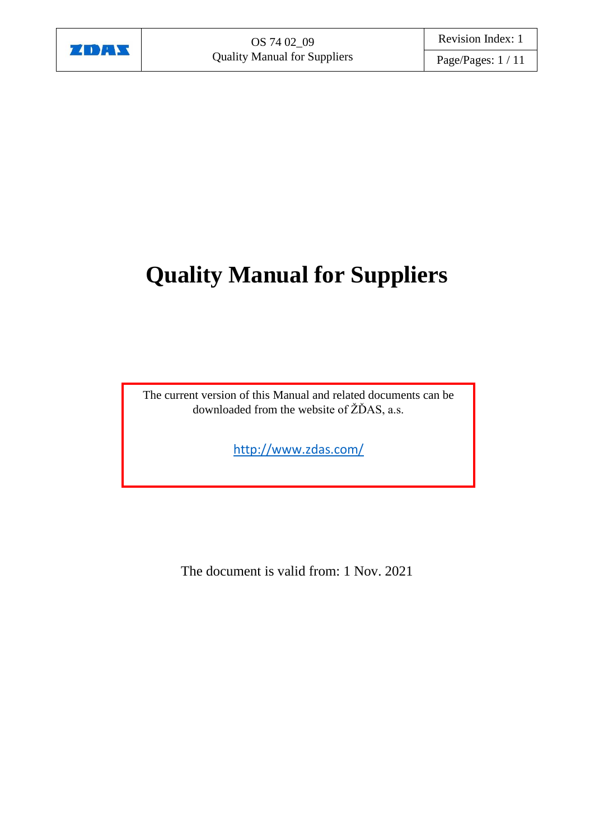

# **Quality Manual for Suppliers**

The current version of this Manual and related documents can be downloaded from the website of ŽĎAS, a.s.

<http://www.zdas.com/>

<span id="page-0-0"></span>The document is valid from: 1 Nov. 2021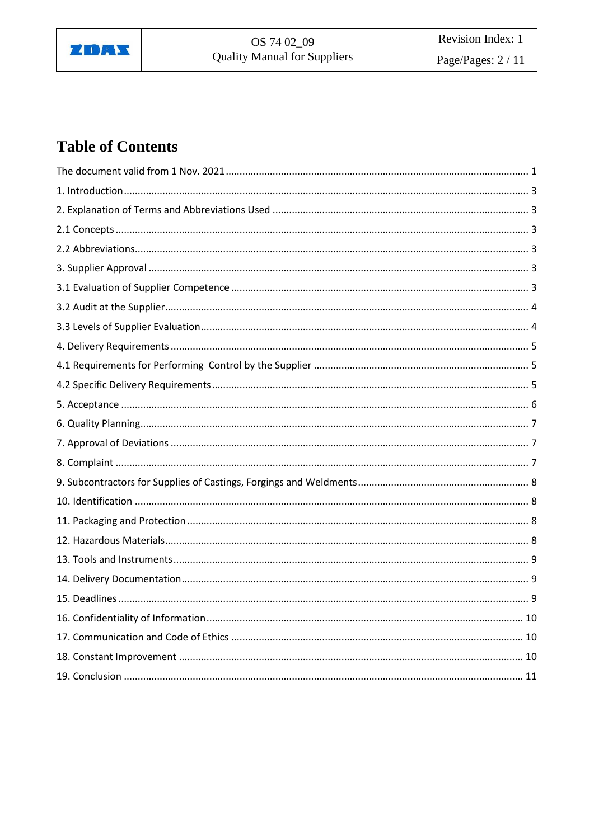

Page/Pages: 2 / 11

# **Table of Contents**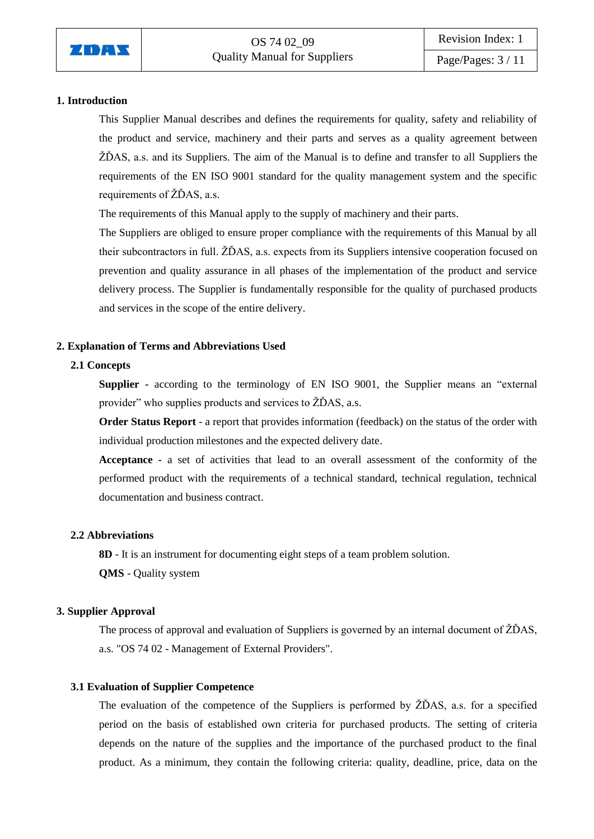

# <span id="page-2-0"></span>**1. Introduction**

This Supplier Manual describes and defines the requirements for quality, safety and reliability of the product and service, machinery and their parts and serves as a quality agreement between ŽĎAS, a.s. and its Suppliers. The aim of the Manual is to define and transfer to all Suppliers the requirements of the EN ISO 9001 standard for the quality management system and the specific requirements of ŽĎAS, a.s.

The requirements of this Manual apply to the supply of machinery and their parts.

The Suppliers are obliged to ensure proper compliance with the requirements of this Manual by all their subcontractors in full. ŽĎAS, a.s. expects from its Suppliers intensive cooperation focused on prevention and quality assurance in all phases of the implementation of the product and service delivery process. The Supplier is fundamentally responsible for the quality of purchased products and services in the scope of the entire delivery.

# <span id="page-2-1"></span>**2. Explanation of Terms and Abbreviations Used**

# <span id="page-2-2"></span>**2.1 Concepts**

**Supplier -** according to the terminology of EN ISO 9001, the Supplier means an "external provider" who supplies products and services to ŽĎAS, a.s.

**Order Status Report** - a report that provides information (feedback) on the status of the order with individual production milestones and the expected delivery date.

**Acceptance -** a set of activities that lead to an overall assessment of the conformity of the performed product with the requirements of a technical standard, technical regulation, technical documentation and business contract.

#### <span id="page-2-3"></span>**2.2 Abbreviations**

**8D** - It is an instrument for documenting eight steps of a team problem solution.

**QMS** - Quality system

#### <span id="page-2-4"></span>**3. Supplier Approval**

The process of approval and evaluation of Suppliers is governed by an internal document of ŽĎAS, a.s. "OS 74 02 - Management of External Providers".

#### <span id="page-2-5"></span>**3.1 Evaluation of Supplier Competence**

The evaluation of the competence of the Suppliers is performed by ŽĎAS, a.s. for a specified period on the basis of established own criteria for purchased products. The setting of criteria depends on the nature of the supplies and the importance of the purchased product to the final product. As a minimum, they contain the following criteria: quality, deadline, price, data on the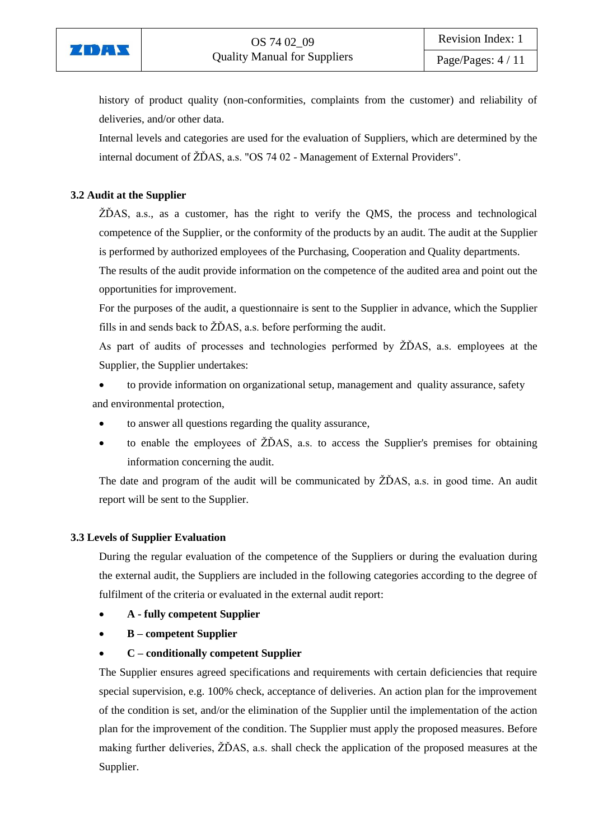

history of product quality (non-conformities, complaints from the customer) and reliability of deliveries, and/or other data.

Internal levels and categories are used for the evaluation of Suppliers, which are determined by the internal document of ŽĎAS, a.s. "OS 74 02 - Management of External Providers".

# <span id="page-3-0"></span>**3.2 Audit at the Supplier**

ŽĎAS, a.s., as a customer, has the right to verify the QMS, the process and technological competence of the Supplier, or the conformity of the products by an audit. The audit at the Supplier is performed by authorized employees of the Purchasing, Cooperation and Quality departments.

The results of the audit provide information on the competence of the audited area and point out the opportunities for improvement.

For the purposes of the audit, a questionnaire is sent to the Supplier in advance, which the Supplier fills in and sends back to ŽĎAS, a.s. before performing the audit.

As part of audits of processes and technologies performed by ŽĎAS, a.s. employees at the Supplier, the Supplier undertakes:

 to provide information on organizational setup, management and quality assurance, safety and environmental protection,

- to answer all questions regarding the quality assurance,
- $\bullet$  to enable the employees of  $\angle Z\angle DAS$ , a.s. to access the Supplier's premises for obtaining information concerning the audit.

The date and program of the audit will be communicated by ŽĎAS, a.s. in good time. An audit report will be sent to the Supplier.

# <span id="page-3-1"></span>**3.3 Levels of Supplier Evaluation**

During the regular evaluation of the competence of the Suppliers or during the evaluation during the external audit, the Suppliers are included in the following categories according to the degree of fulfilment of the criteria or evaluated in the external audit report:

- **A - fully competent Supplier**
- **B – competent Supplier**
- **C – conditionally competent Supplier**

The Supplier ensures agreed specifications and requirements with certain deficiencies that require special supervision, e.g. 100% check, acceptance of deliveries. An action plan for the improvement of the condition is set, and/or the elimination of the Supplier until the implementation of the action plan for the improvement of the condition. The Supplier must apply the proposed measures. Before making further deliveries, ŽĎAS, a.s. shall check the application of the proposed measures at the Supplier.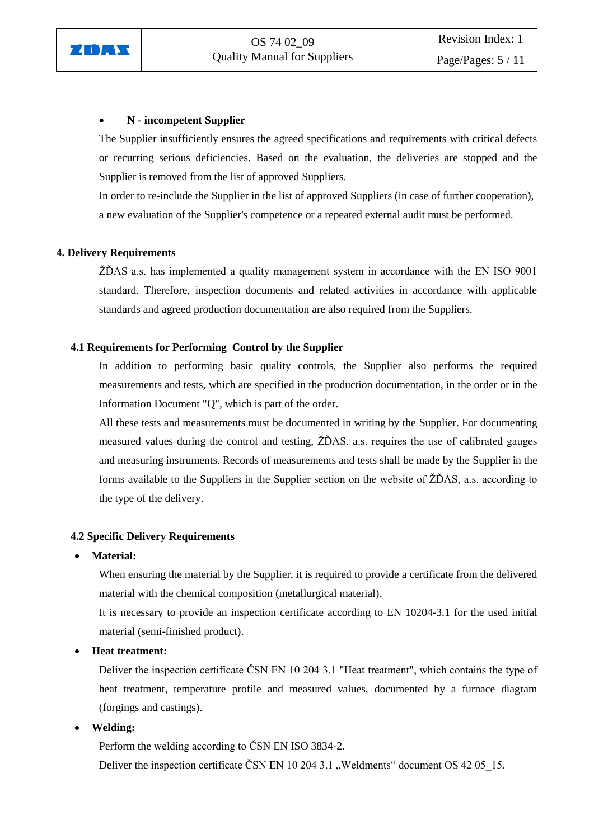

# **N - incompetent Supplier**

The Supplier insufficiently ensures the agreed specifications and requirements with critical defects or recurring serious deficiencies. Based on the evaluation, the deliveries are stopped and the Supplier is removed from the list of approved Suppliers.

In order to re-include the Supplier in the list of approved Suppliers (in case of further cooperation), a new evaluation of the Supplier's competence or a repeated external audit must be performed.

# <span id="page-4-0"></span>**4. Delivery Requirements**

ŽĎAS a.s. has implemented a quality management system in accordance with the EN ISO 9001 standard. Therefore, inspection documents and related activities in accordance with applicable standards and agreed production documentation are also required from the Suppliers.

# <span id="page-4-1"></span>**4.1 Requirements for Performing Control by the Supplier**

In addition to performing basic quality controls, the Supplier also performs the required measurements and tests, which are specified in the production documentation, in the order or in the Information Document "Q", which is part of the order.

All these tests and measurements must be documented in writing by the Supplier. For documenting measured values during the control and testing, ŽĎAS, a.s. requires the use of calibrated gauges and measuring instruments. Records of measurements and tests shall be made by the Supplier in the forms available to the Suppliers in the Supplier section on the website of ŽĎAS, a.s. according to the type of the delivery.

# <span id="page-4-2"></span>**4.2 Specific Delivery Requirements**

#### **Material:**

When ensuring the material by the Supplier, it is required to provide a certificate from the delivered material with the chemical composition (metallurgical material).

It is necessary to provide an inspection certificate according to EN 10204-3.1 for the used initial material (semi-finished product).

#### **Heat treatment:**

Deliver the inspection certificate ČSN EN 10 204 3.1 "Heat treatment", which contains the type of heat treatment, temperature profile and measured values, documented by a furnace diagram (forgings and castings).

**Welding:**

Perform the welding according to ČSN EN ISO 3834-2.

Deliver the inspection certificate ČSN EN 10 204 3.1 "Weldments" document OS 42 05 15.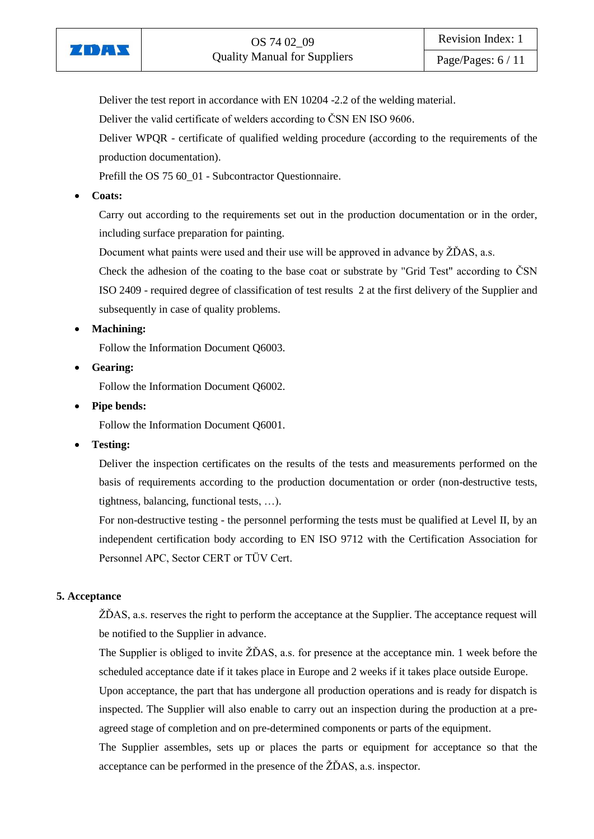

Deliver the test report in accordance with EN 10204 -2.2 of the welding material.

Deliver the valid certificate of welders according to ČSN EN ISO 9606.

Deliver WPQR - certificate of qualified welding procedure (according to the requirements of the production documentation).

Prefill the OS 75 60\_01 - Subcontractor Questionnaire.

# **Coats:**

Carry out according to the requirements set out in the production documentation or in the order, including surface preparation for painting.

Document what paints were used and their use will be approved in advance by  $\check{Z}$ DAS, a.s.

Check the adhesion of the coating to the base coat or substrate by "Grid Test" according to ČSN ISO 2409 - required degree of classification of test results 2 at the first delivery of the Supplier and subsequently in case of quality problems.

**Machining:**

Follow the Information Document Q6003.

**Gearing:**

Follow the Information Document Q6002.

**Pipe bends:**

Follow the Information Document Q6001.

**Testing:** 

Deliver the inspection certificates on the results of the tests and measurements performed on the basis of requirements according to the production documentation or order (non-destructive tests, tightness, balancing, functional tests, …).

For non-destructive testing - the personnel performing the tests must be qualified at Level II, by an independent certification body according to EN ISO 9712 with the Certification Association for Personnel APC, Sector CERT or TÜV Cert.

# <span id="page-5-0"></span>**5. Acceptance**

ŽĎAS, a.s. reserves the right to perform the acceptance at the Supplier. The acceptance request will be notified to the Supplier in advance.

The Supplier is obliged to invite ŽĎAS, a.s. for presence at the acceptance min. 1 week before the scheduled acceptance date if it takes place in Europe and 2 weeks if it takes place outside Europe.

Upon acceptance, the part that has undergone all production operations and is ready for dispatch is inspected. The Supplier will also enable to carry out an inspection during the production at a preagreed stage of completion and on pre-determined components or parts of the equipment.

The Supplier assembles, sets up or places the parts or equipment for acceptance so that the acceptance can be performed in the presence of the ŽĎAS, a.s. inspector.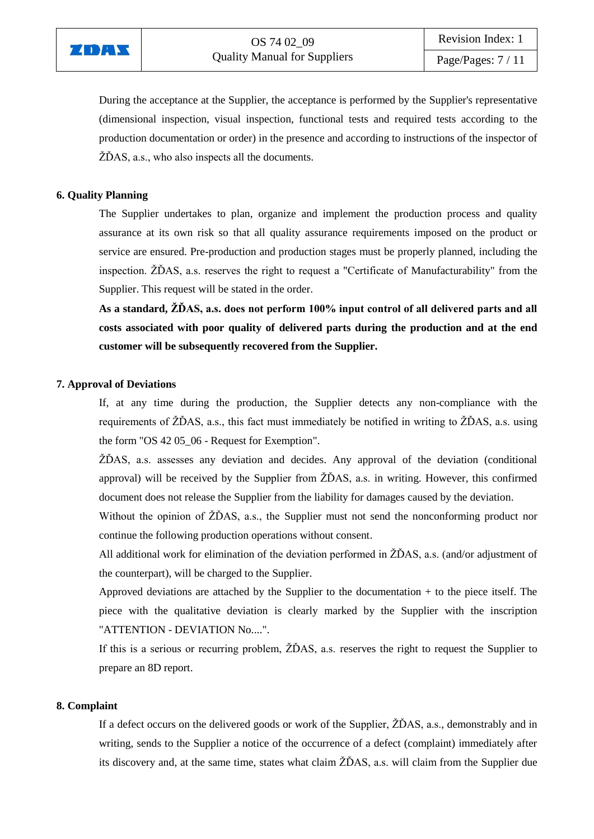

During the acceptance at the Supplier, the acceptance is performed by the Supplier's representative (dimensional inspection, visual inspection, functional tests and required tests according to the production documentation or order) in the presence and according to instructions of the inspector of ŽĎAS, a.s., who also inspects all the documents.

#### <span id="page-6-0"></span>**6. Quality Planning**

The Supplier undertakes to plan, organize and implement the production process and quality assurance at its own risk so that all quality assurance requirements imposed on the product or service are ensured. Pre-production and production stages must be properly planned, including the inspection. ŽĎAS, a.s. reserves the right to request a "Certificate of Manufacturability" from the Supplier. This request will be stated in the order.

**As a standard, ŽĎAS, a.s. does not perform 100% input control of all delivered parts and all costs associated with poor quality of delivered parts during the production and at the end customer will be subsequently recovered from the Supplier.**

#### <span id="page-6-1"></span>**7. Approval of Deviations**

If, at any time during the production, the Supplier detects any non-compliance with the requirements of ŽĎAS, a.s., this fact must immediately be notified in writing to ŽĎAS, a.s. using the form "OS 42 05\_06 - Request for Exemption".

ŽĎAS, a.s. assesses any deviation and decides. Any approval of the deviation (conditional approval) will be received by the Supplier from ŽĎAS, a.s. in writing. However, this confirmed document does not release the Supplier from the liability for damages caused by the deviation.

Without the opinion of  $Z\overline{D}AS$ , a.s., the Supplier must not send the nonconforming product nor continue the following production operations without consent.

All additional work for elimination of the deviation performed in ŽĎAS, a.s. (and/or adjustment of the counterpart), will be charged to the Supplier.

Approved deviations are attached by the Supplier to the documentation + to the piece itself. The piece with the qualitative deviation is clearly marked by the Supplier with the inscription "ATTENTION - DEVIATION No....".

If this is a serious or recurring problem, ŽĎAS, a.s. reserves the right to request the Supplier to prepare an 8D report.

#### <span id="page-6-2"></span>**8. Complaint**

If a defect occurs on the delivered goods or work of the Supplier, ŽĎAS, a.s., demonstrably and in writing, sends to the Supplier a notice of the occurrence of a defect (complaint) immediately after its discovery and, at the same time, states what claim ŽĎAS, a.s. will claim from the Supplier due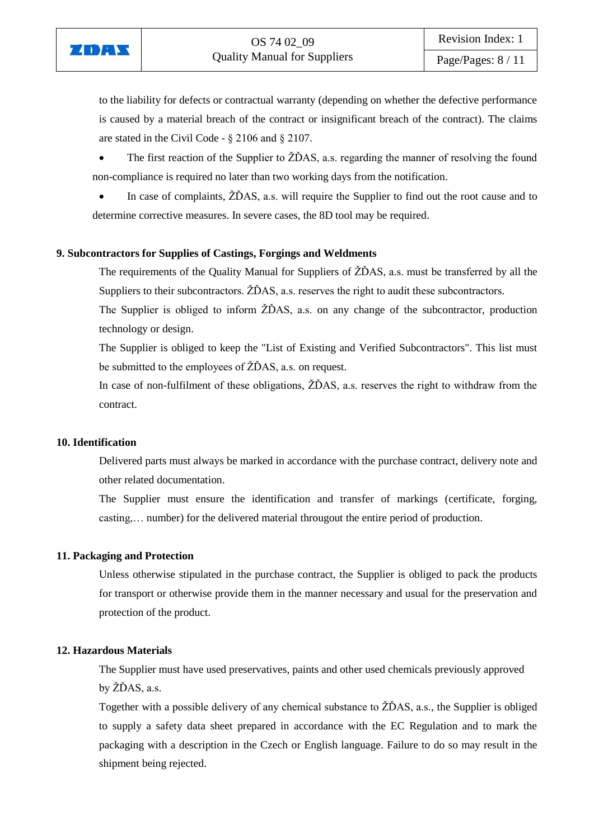

to the liability for defects or contractual warranty (depending on whether the defective performance is caused by a material breach of the contract or insignificant breach of the contract). The claims are stated in the Civil Code - § 2106 and § 2107.

 The first reaction of the Supplier to ŽĎAS, a.s. regarding the manner of resolving the found non-compliance is required no later than two working days from the notification.

In case of complaints,  $\angle Z\angle DAS$ , a.s. will require the Supplier to find out the root cause and to determine corrective measures. In severe cases, the 8D tool may be required.

#### <span id="page-7-0"></span>**9. Subcontractors for Supplies of Castings, Forgings and Weldments**

The requirements of the Quality Manual for Suppliers of ŽĎAS, a.s. must be transferred by all the Suppliers to their subcontractors. ŽĎAS, a.s. reserves the right to audit these subcontractors.

The Supplier is obliged to inform ŽĎAS, a.s. on any change of the subcontractor, production technology or design.

The Supplier is obliged to keep the "List of Existing and Verified Subcontractors". This list must be submitted to the employees of ŽĎAS, a.s. on request.

In case of non-fulfilment of these obligations, ŽĎAS, a.s. reserves the right to withdraw from the contract.

#### <span id="page-7-1"></span>**10. Identification**

ZDAY

Delivered parts must always be marked in accordance with the purchase contract, delivery note and other related documentation.

The Supplier must ensure the identification and transfer of markings (certificate, forging, casting,… number) for the delivered material througout the entire period of production.

#### <span id="page-7-2"></span>**11. Packaging and Protection**

Unless otherwise stipulated in the purchase contract, the Supplier is obliged to pack the products for transport or otherwise provide them in the manner necessary and usual for the preservation and protection of the product.

#### <span id="page-7-3"></span>**12. Hazardous Materials**

The Supplier must have used preservatives, paints and other used chemicals previously approved by ŽĎAS, a.s.

Together with a possible delivery of any chemical substance to ŽĎAS, a.s., the Supplier is obliged to supply a safety data sheet prepared in accordance with the EC Regulation and to mark the packaging with a description in the Czech or English language. Failure to do so may result in the shipment being rejected.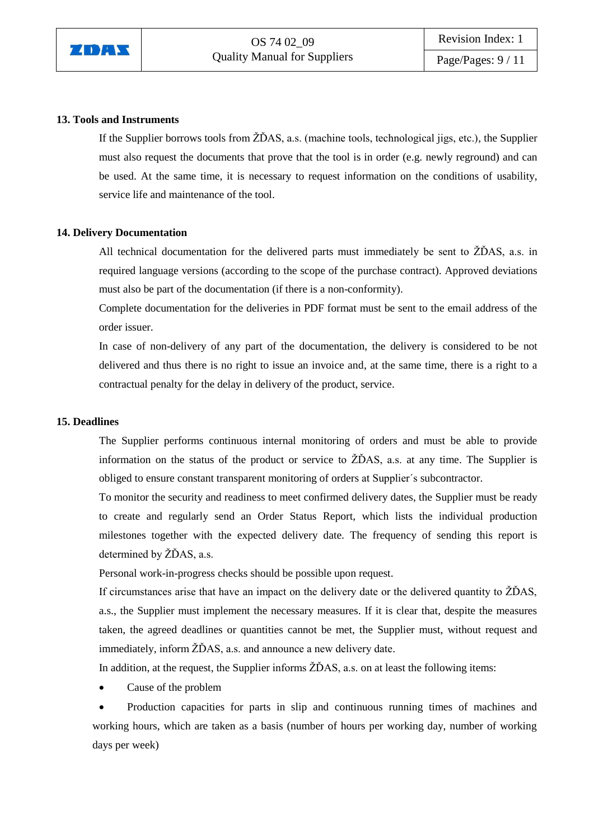

#### <span id="page-8-0"></span>**13. Tools and Instruments**

If the Supplier borrows tools from ŽĎAS, a.s. (machine tools, technological jigs, etc.), the Supplier must also request the documents that prove that the tool is in order (e.g. newly reground) and can be used. At the same time, it is necessary to request information on the conditions of usability, service life and maintenance of the tool.

#### <span id="page-8-1"></span>**14. Delivery Documentation**

All technical documentation for the delivered parts must immediately be sent to ŽĎAS, a.s. in required language versions (according to the scope of the purchase contract). Approved deviations must also be part of the documentation (if there is a non-conformity).

Complete documentation for the deliveries in PDF format must be sent to the email address of the order issuer.

In case of non-delivery of any part of the documentation, the delivery is considered to be not delivered and thus there is no right to issue an invoice and, at the same time, there is a right to a contractual penalty for the delay in delivery of the product, service.

#### <span id="page-8-2"></span>**15. Deadlines**

The Supplier performs continuous internal monitoring of orders and must be able to provide information on the status of the product or service to ŽĎAS, a.s. at any time. The Supplier is obliged to ensure constant transparent monitoring of orders at Supplier´s subcontractor.

To monitor the security and readiness to meet confirmed delivery dates, the Supplier must be ready to create and regularly send an Order Status Report, which lists the individual production milestones together with the expected delivery date. The frequency of sending this report is determined by ŽĎAS, a.s.

Personal work-in-progress checks should be possible upon request.

If circumstances arise that have an impact on the delivery date or the delivered quantity to ŽĎAS, a.s., the Supplier must implement the necessary measures. If it is clear that, despite the measures taken, the agreed deadlines or quantities cannot be met, the Supplier must, without request and immediately, inform ŽĎAS, a.s. and announce a new delivery date.

In addition, at the request, the Supplier informs ŽĎAS, a.s. on at least the following items:

Cause of the problem

 Production capacities for parts in slip and continuous running times of machines and working hours, which are taken as a basis (number of hours per working day, number of working days per week)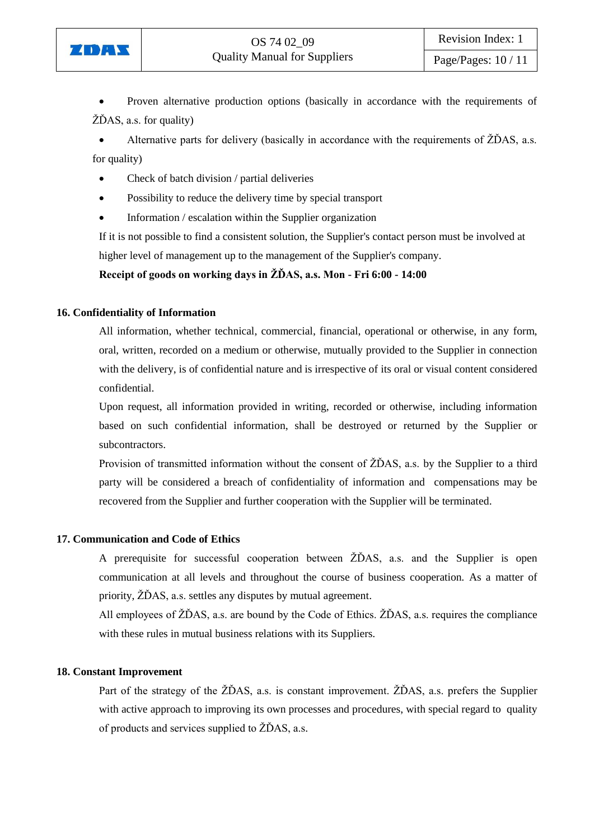

 Proven alternative production options (basically in accordance with the requirements of  $\angle Z\angle DAS$ , a.s. for quality)

 Alternative parts for delivery (basically in accordance with the requirements of ŽĎAS, a.s. for quality)

- Check of batch division / partial deliveries
- Possibility to reduce the delivery time by special transport
- Information / escalation within the Supplier organization

If it is not possible to find a consistent solution, the Supplier's contact person must be involved at higher level of management up to the management of the Supplier's company.

# **Receipt of goods on working days in ŽĎAS, a.s. Mon - Fri 6:00 - 14:00**

#### <span id="page-9-0"></span>**16. Confidentiality of Information**

All information, whether technical, commercial, financial, operational or otherwise, in any form, oral, written, recorded on a medium or otherwise, mutually provided to the Supplier in connection with the delivery, is of confidential nature and is irrespective of its oral or visual content considered confidential.

Upon request, all information provided in writing, recorded or otherwise, including information based on such confidential information, shall be destroyed or returned by the Supplier or subcontractors.

Provision of transmitted information without the consent of ŽĎAS, a.s. by the Supplier to a third party will be considered a breach of confidentiality of information and compensations may be recovered from the Supplier and further cooperation with the Supplier will be terminated.

#### <span id="page-9-1"></span>**17. Communication and Code of Ethics**

A prerequisite for successful cooperation between ŽĎAS, a.s. and the Supplier is open communication at all levels and throughout the course of business cooperation. As a matter of priority, ŽĎAS, a.s. settles any disputes by mutual agreement.

All employees of ŽĎAS, a.s. are bound by the Code of Ethics. ŽĎAS, a.s. requires the compliance with these rules in mutual business relations with its Suppliers.

#### <span id="page-9-2"></span>**18. Constant Improvement**

Part of the strategy of the ŽĎAS, a.s. is constant improvement. ŽĎAS, a.s. prefers the Supplier with active approach to improving its own processes and procedures, with special regard to quality of products and services supplied to ŽĎAS, a.s.